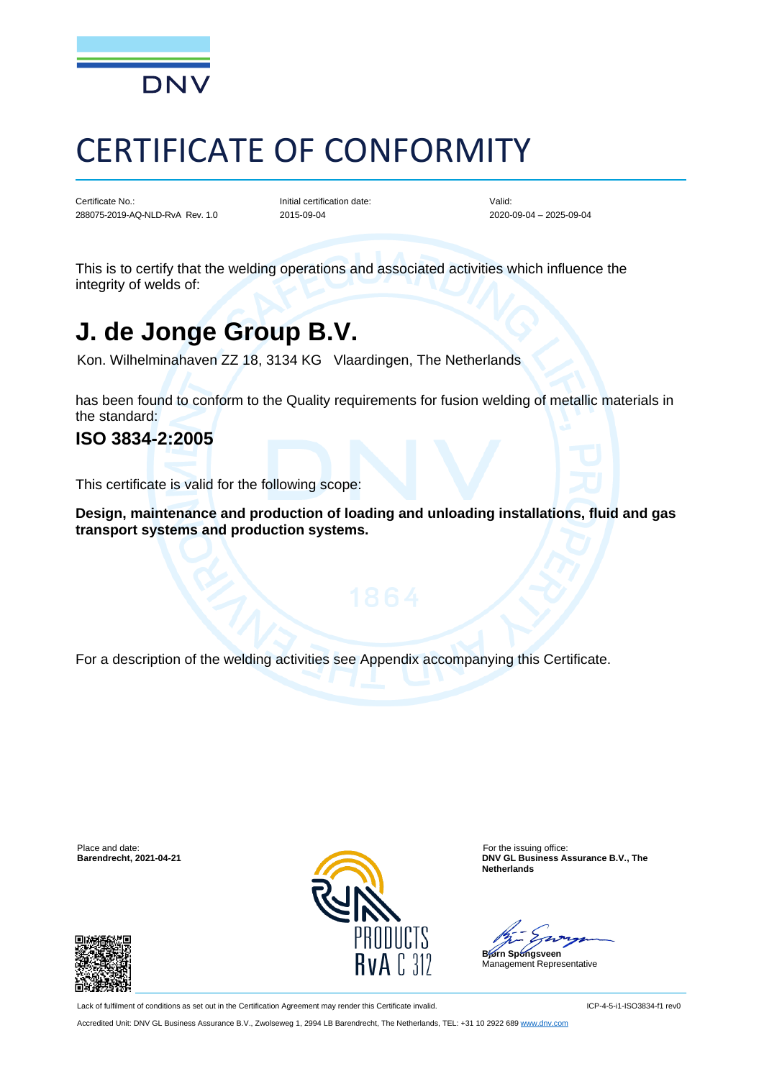

# CERTIFICATE OF CONFORMITY

Certificate No.: 288075-2019-AQ-NLD-RvA Rev. 1.0

Initial certification date: 2015-09-04

Valid: 2020-09-04 – 2025-09-04

This is to certify that the welding operations and associated activities which influence the integrity of welds of:

# **J. de Jonge Group B.V.**

Kon. Wilhelminahaven ZZ 18, 3134 KG Vlaardingen, The Netherlands

has been found to conform to the Quality requirements for fusion welding of metallic materials in the standard:

### **ISO 3834-2:2005**

This certificate is valid for the following scope:

**Design, maintenance and production of loading and unloading installations, fluid and gas transport systems and production systems.**

For a description of the welding activities see Appendix accompanying this Certificate.

Place and date: For the issuing office: For the issuing office: For the issuing office: For the issuing office:





**BAY GL Business Assurance B.V., The Netherlands**

**Bjørn Spongsveen**

Management Representative

Lack of fulfilment of conditions as set out in the Certification Agreement may render this Certificate invalid.

Accredited Unit: DNV GL Business Assurance B.V., Zwolseweg 1, 2994 LB Barendrecht, The Netherlands, TEL: +31 10 2922 689 [www.dnv.com](http://www.dnv.com/)

ICP-4-5-i1-ISO3834-f1 rev0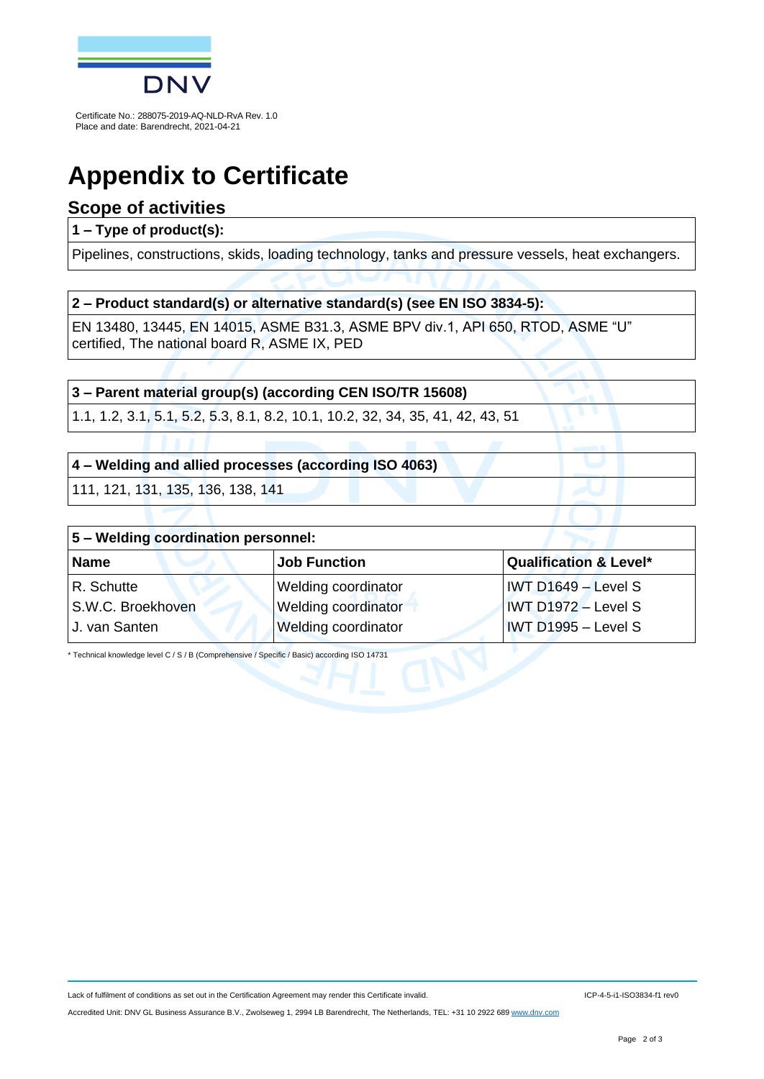

Certificate No.: 288075-2019-AQ-NLD-RvA Rev. 1.0 Place and date: Barendrecht, 2021-04-21

# **Appendix to Certificate**

### **Scope of activities**

#### **1 – Type of product(s):**

Pipelines, constructions, skids, loading technology, tanks and pressure vessels, heat exchangers.

#### **2 – Product standard(s) or alternative standard(s) (see EN ISO 3834-5):**

EN 13480, 13445, EN 14015, ASME B31.3, ASME BPV div.1, API 650, RTOD, ASME "U" certified, The national board R, ASME IX, PED

#### **3 – Parent material group(s) (according CEN ISO/TR 15608)**

1.1, 1.2, 3.1, 5.1, 5.2, 5.3, 8.1, 8.2, 10.1, 10.2, 32, 34, 35, 41, 42, 43, 51

#### **4 – Welding and allied processes (according ISO 4063)**

111, 121, 131, 135, 136, 138, 141

| $ 5 -$ Welding coordination personnel: |                            |                                     |  |  |
|----------------------------------------|----------------------------|-------------------------------------|--|--|
| Name                                   | <b>Job Function</b>        | <b>Qualification &amp; Level*</b>   |  |  |
| R. Schutte                             | Welding coordinator        | $ IVT D1649 - Level S $             |  |  |
| S.W.C. Broekhoven                      | <b>Welding coordinator</b> | $IWT D1972 - Level S$               |  |  |
| U. van Santen                          | Welding coordinator        | $\sqrt{\text{IVT}}$ D1995 – Level S |  |  |

\* Technical knowledge level C / S / B (Comprehensive / Specific / Basic) according ISO 14731

Lack of fulfilment of conditions as set out in the Certification Agreement may render this Certificate invalid.

Accredited Unit: DNV GL Business Assurance B.V., Zwolseweg 1, 2994 LB Barendrecht, The Netherlands, TEL: +31 10 2922 689 [www.dnv.com](http://www.dnv.com/)